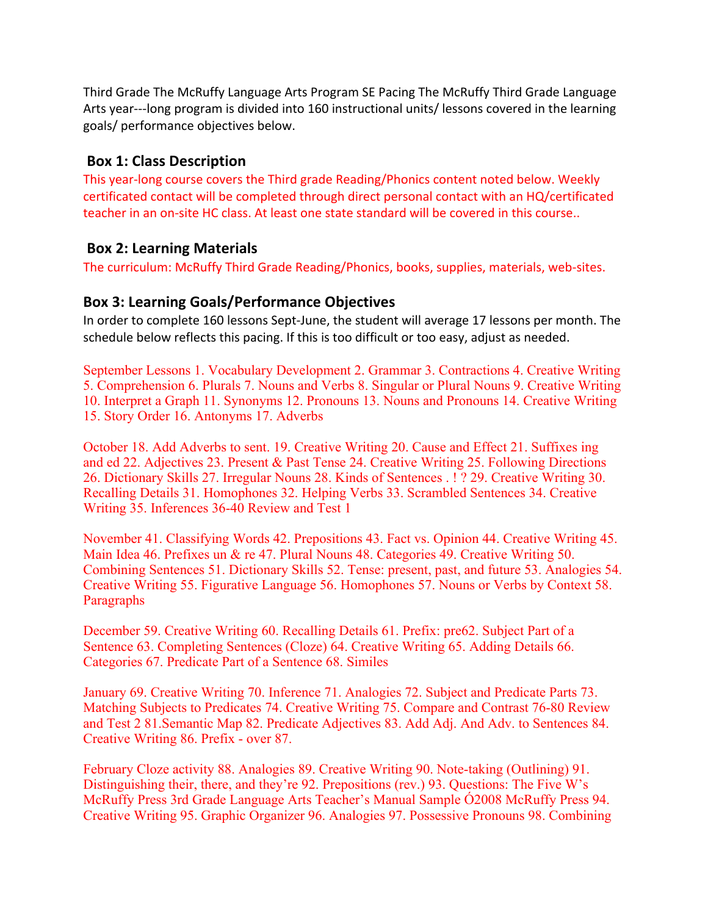Third Grade The McRuffy Language Arts Program SE Pacing The McRuffy Third Grade Language Arts year---long program is divided into 160 instructional units/ lessons covered in the learning goals/ performance objectives below.

## **Box 1: Class Description**

This year-long course covers the Third grade Reading/Phonics content noted below. Weekly certificated contact will be completed through direct personal contact with an HQ/certificated teacher in an on-site HC class. At least one state standard will be covered in this course..

### **Box 2: Learning Materials**

The curriculum: McRuffy Third Grade Reading/Phonics, books, supplies, materials, web-sites.

### **Box 3: Learning Goals/Performance Objectives**

In order to complete 160 lessons Sept-June, the student will average 17 lessons per month. The schedule below reflects this pacing. If this is too difficult or too easy, adjust as needed.

September Lessons 1. Vocabulary Development 2. Grammar 3. Contractions 4. Creative Writing 5. Comprehension 6. Plurals 7. Nouns and Verbs 8. Singular or Plural Nouns 9. Creative Writing 10. Interpret a Graph 11. Synonyms 12. Pronouns 13. Nouns and Pronouns 14. Creative Writing 15. Story Order 16. Antonyms 17. Adverbs

October 18. Add Adverbs to sent. 19. Creative Writing 20. Cause and Effect 21. Suffixes ing and ed 22. Adjectives 23. Present & Past Tense 24. Creative Writing 25. Following Directions 26. Dictionary Skills 27. Irregular Nouns 28. Kinds of Sentences . ! ? 29. Creative Writing 30. Recalling Details 31. Homophones 32. Helping Verbs 33. Scrambled Sentences 34. Creative Writing 35. Inferences 36-40 Review and Test 1

November 41. Classifying Words 42. Prepositions 43. Fact vs. Opinion 44. Creative Writing 45. Main Idea 46. Prefixes un & re 47. Plural Nouns 48. Categories 49. Creative Writing 50. Combining Sentences 51. Dictionary Skills 52. Tense: present, past, and future 53. Analogies 54. Creative Writing 55. Figurative Language 56. Homophones 57. Nouns or Verbs by Context 58. Paragraphs

December 59. Creative Writing 60. Recalling Details 61. Prefix: pre62. Subject Part of a Sentence 63. Completing Sentences (Cloze) 64. Creative Writing 65. Adding Details 66. Categories 67. Predicate Part of a Sentence 68. Similes

January 69. Creative Writing 70. Inference 71. Analogies 72. Subject and Predicate Parts 73. Matching Subjects to Predicates 74. Creative Writing 75. Compare and Contrast 76-80 Review and Test 2 81.Semantic Map 82. Predicate Adjectives 83. Add Adj. And Adv. to Sentences 84. Creative Writing 86. Prefix - over 87.

February Cloze activity 88. Analogies 89. Creative Writing 90. Note-taking (Outlining) 91. Distinguishing their, there, and they're 92. Prepositions (rev.) 93. Questions: The Five W's McRuffy Press 3rd Grade Language Arts Teacher's Manual Sample Ó2008 McRuffy Press 94. Creative Writing 95. Graphic Organizer 96. Analogies 97. Possessive Pronouns 98. Combining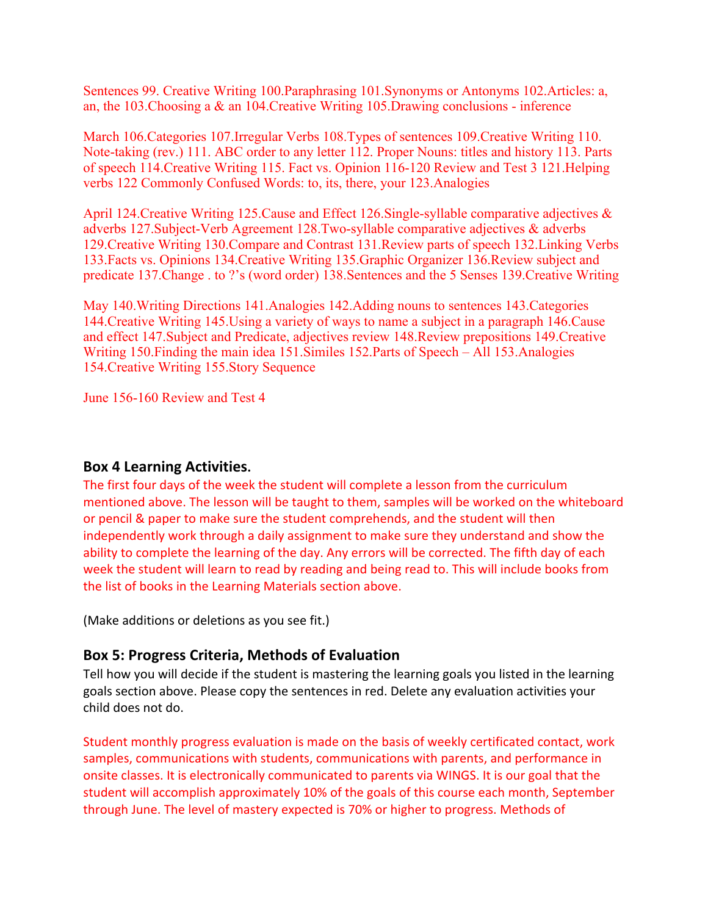Sentences 99. Creative Writing 100.Paraphrasing 101.Synonyms or Antonyms 102.Articles: a, an, the 103.Choosing a & an 104.Creative Writing 105.Drawing conclusions - inference

March 106.Categories 107.Irregular Verbs 108.Types of sentences 109.Creative Writing 110. Note-taking (rev.) 111. ABC order to any letter 112. Proper Nouns: titles and history 113. Parts of speech 114.Creative Writing 115. Fact vs. Opinion 116-120 Review and Test 3 121.Helping verbs 122 Commonly Confused Words: to, its, there, your 123.Analogies

April 124. Creative Writing 125. Cause and Effect 126. Single-syllable comparative adjectives & adverbs 127.Subject-Verb Agreement 128.Two-syllable comparative adjectives & adverbs 129.Creative Writing 130.Compare and Contrast 131.Review parts of speech 132.Linking Verbs 133.Facts vs. Opinions 134.Creative Writing 135.Graphic Organizer 136.Review subject and predicate 137.Change . to ?'s (word order) 138.Sentences and the 5 Senses 139.Creative Writing

May 140.Writing Directions 141.Analogies 142.Adding nouns to sentences 143.Categories 144.Creative Writing 145.Using a variety of ways to name a subject in a paragraph 146.Cause and effect 147.Subject and Predicate, adjectives review 148.Review prepositions 149.Creative Writing 150.Finding the main idea 151.Similes 152.Parts of Speech – All 153.Analogies 154.Creative Writing 155.Story Sequence

June 156-160 Review and Test 4

#### **Box 4 Learning Activities.**

The first four days of the week the student will complete a lesson from the curriculum mentioned above. The lesson will be taught to them, samples will be worked on the whiteboard or pencil & paper to make sure the student comprehends, and the student will then independently work through a daily assignment to make sure they understand and show the ability to complete the learning of the day. Any errors will be corrected. The fifth day of each week the student will learn to read by reading and being read to. This will include books from the list of books in the Learning Materials section above.

(Make additions or deletions as you see fit.)

### **Box 5: Progress Criteria, Methods of Evaluation**

Tell how you will decide if the student is mastering the learning goals you listed in the learning goals section above. Please copy the sentences in red. Delete any evaluation activities your child does not do.

Student monthly progress evaluation is made on the basis of weekly certificated contact, work samples, communications with students, communications with parents, and performance in onsite classes. It is electronically communicated to parents via WINGS. It is our goal that the student will accomplish approximately 10% of the goals of this course each month, September through June. The level of mastery expected is 70% or higher to progress. Methods of